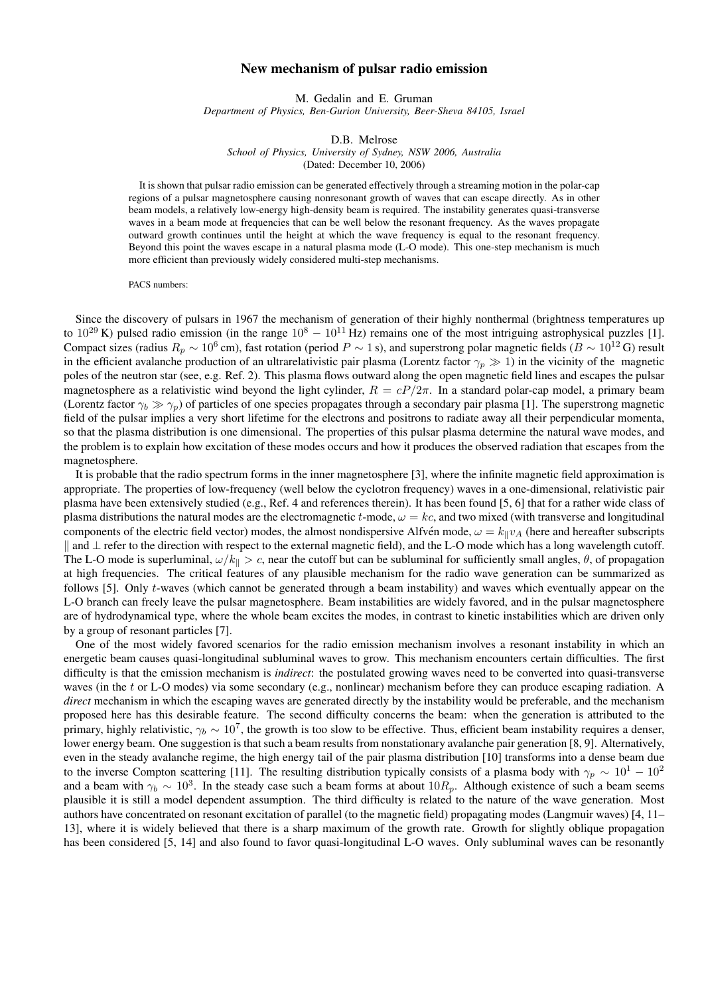## New mechanism of pulsar radio emission

M. Gedalin and E. Gruman *Department of Physics, Ben-Gurion University, Beer-Sheva 84105, Israel*

D.B. Melrose *School of Physics, University of Sydney, NSW 2006, Australia* (Dated: December 10, 2006)

It is shown that pulsar radio emission can be generated effectively through a streaming motion in the polar-cap regions of a pulsar magnetosphere causing nonresonant growth of waves that can escape directly. As in other beam models, a relatively low-energy high-density beam is required. The instability generates quasi-transverse waves in a beam mode at frequencies that can be well below the resonant frequency. As the waves propagate outward growth continues until the height at which the wave frequency is equal to the resonant frequency. Beyond this point the waves escape in a natural plasma mode (L-O mode). This one-step mechanism is much more efficient than previously widely considered multi-step mechanisms.

PACS numbers:

Since the discovery of pulsars in 1967 the mechanism of generation of their highly nonthermal (brightness temperatures up to  $10^{29}$  K) pulsed radio emission (in the range  $10^8 - 10^{11}$  Hz) remains one of the most intriguing astrophysical puzzles [1]. Compact sizes (radius  $R_p \sim 10^6$  cm), fast rotation (period  $P \sim 1$  s), and superstrong polar magnetic fields ( $B \sim 10^{12}$  G) result in the efficient avalanche production of an ultrarelativistic pair plasma (Lorentz factor  $\gamma_p \gg 1$ ) in the vicinity of the magnetic poles of the neutron star (see, e.g. Ref. 2). This plasma flows outward along the open magnetic field lines and escapes the pulsar magnetosphere as a relativistic wind beyond the light cylinder,  $R = cP/2\pi$ . In a standard polar-cap model, a primary beam (Lorentz factor  $\gamma_b \gg \gamma_p$ ) of particles of one species propagates through a secondary pair plasma [1]. The superstrong magnetic field of the pulsar implies a very short lifetime for the electrons and positrons to radiate away all their perpendicular momenta, so that the plasma distribution is one dimensional. The properties of this pulsar plasma determine the natural wave modes, and the problem is to explain how excitation of these modes occurs and how it produces the observed radiation that escapes from the magnetosphere.

It is probable that the radio spectrum forms in the inner magnetosphere [3], where the infinite magnetic field approximation is appropriate. The properties of low-frequency (well below the cyclotron frequency) waves in a one-dimensional, relativistic pair plasma have been extensively studied (e.g., Ref. 4 and references therein). It has been found [5, 6] that for a rather wide class of plasma distributions the natural modes are the electromagnetic t-mode,  $\omega = kc$ , and two mixed (with transverse and longitudinal components of the electric field vector) modes, the almost nondispersive Alfvén mode,  $\omega = k_{\parallel}v_A$  (here and hereafter subscripts k and ⊥ refer to the direction with respect to the external magnetic field), and the L-O mode which has a long wavelength cutoff. The L-O mode is superluminal,  $\omega/k_{\parallel} > c$ , near the cutoff but can be subluminal for sufficiently small angles,  $\theta$ , of propagation at high frequencies. The critical features of any plausible mechanism for the radio wave generation can be summarized as follows [5]. Only t-waves (which cannot be generated through a beam instability) and waves which eventually appear on the L-O branch can freely leave the pulsar magnetosphere. Beam instabilities are widely favored, and in the pulsar magnetosphere are of hydrodynamical type, where the whole beam excites the modes, in contrast to kinetic instabilities which are driven only by a group of resonant particles [7].

One of the most widely favored scenarios for the radio emission mechanism involves a resonant instability in which an energetic beam causes quasi-longitudinal subluminal waves to grow. This mechanism encounters certain difficulties. The first difficulty is that the emission mechanism is *indirect*: the postulated growing waves need to be converted into quasi-transverse waves (in the t or L-O modes) via some secondary (e.g., nonlinear) mechanism before they can produce escaping radiation. A *direct* mechanism in which the escaping waves are generated directly by the instability would be preferable, and the mechanism proposed here has this desirable feature. The second difficulty concerns the beam: when the generation is attributed to the primary, highly relativistic,  $\gamma_b \sim 10^7$ , the growth is too slow to be effective. Thus, efficient beam instability requires a denser, lower energy beam. One suggestion is that such a beam results from nonstationary avalanche pair generation [8, 9]. Alternatively, even in the steady avalanche regime, the high energy tail of the pair plasma distribution [10] transforms into a dense beam due to the inverse Compton scattering [11]. The resulting distribution typically consists of a plasma body with  $\gamma_p \sim 10^1 - 10^2$ and a beam with  $\gamma_b \sim 10^3$ . In the steady case such a beam forms at about  $10R_p$ . Although existence of such a beam seems plausible it is still a model dependent assumption. The third difficulty is related to the nature of the wave generation. Most authors have concentrated on resonant excitation of parallel (to the magnetic field) propagating modes (Langmuir waves) [4, 11– 13], where it is widely believed that there is a sharp maximum of the growth rate. Growth for slightly oblique propagation has been considered [5, 14] and also found to favor quasi-longitudinal L-O waves. Only subluminal waves can be resonantly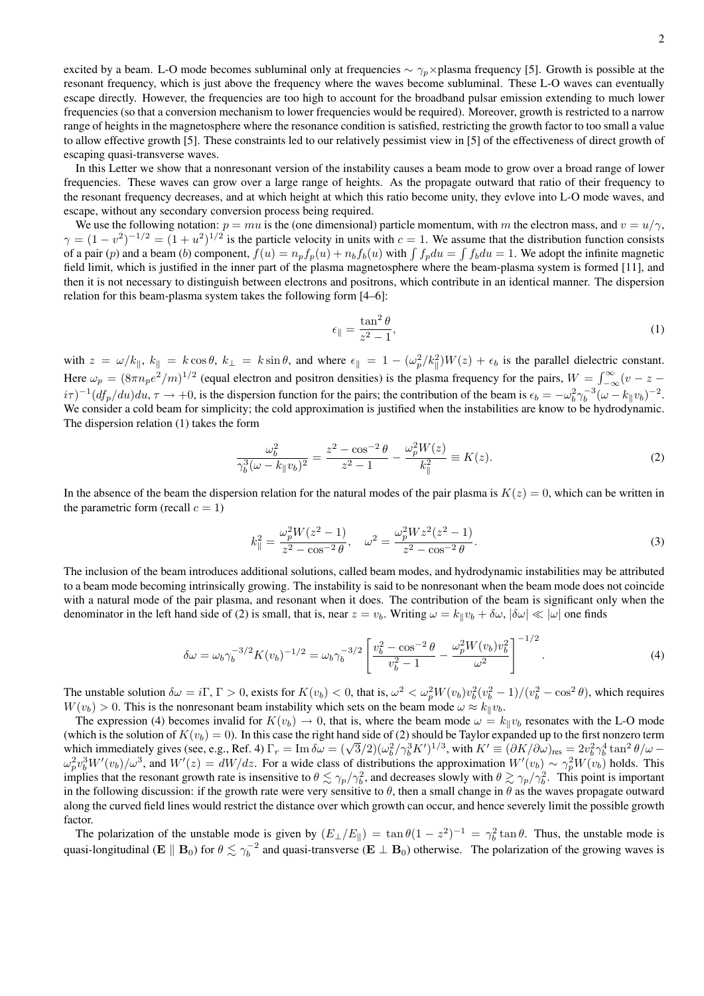excited by a beam. L-O mode becomes subluminal only at frequencies  $\sim \gamma_p \times$  plasma frequency [5]. Growth is possible at the resonant frequency, which is just above the frequency where the waves become subluminal. These L-O waves can eventually escape directly. However, the frequencies are too high to account for the broadband pulsar emission extending to much lower frequencies (so that a conversion mechanism to lower frequencies would be required). Moreover, growth is restricted to a narrow range of heights in the magnetosphere where the resonance condition is satisfied, restricting the growth factor to too small a value to allow effective growth [5]. These constraints led to our relatively pessimist view in [5] of the effectiveness of direct growth of escaping quasi-transverse waves.

In this Letter we show that a nonresonant version of the instability causes a beam mode to grow over a broad range of lower frequencies. These waves can grow over a large range of heights. As the propagate outward that ratio of their frequency to the resonant frequency decreases, and at which height at which this ratio become unity, they evlove into L-O mode waves, and escape, without any secondary conversion process being required.

We use the following notation:  $p = mu$  is the (one dimensional) particle momentum, with m the electron mass, and  $v = u/\gamma$ ,  $\gamma = (1 - v^2)^{-1/2} = (1 + u^2)^{1/2}$  is the particle velocity in units with  $c = 1$ . We assume that the distribution function consists of a pair (p) and a beam (b) component,  $f(u) = n_p f_p(u) + n_b f_b(u)$  with  $\int f_p du = \int f_b du = 1$ . We adopt the infinite magnetic field limit, which is justified in the inner part of the plasma magnetosphere where the beam-plasma system is formed [11], and then it is not necessary to distinguish between electrons and positrons, which contribute in an identical manner. The dispersion relation for this beam-plasma system takes the following form [4–6]:

$$
\epsilon_{\parallel} = \frac{\tan^2 \theta}{z^2 - 1},\tag{1}
$$

with  $z = \omega/k_{\parallel}, k_{\parallel} = k \cos \theta, k_{\perp} = k \sin \theta$ , and where  $\epsilon_{\parallel} = 1 - (\omega_p^2/k_{\parallel}^2)W(z) + \epsilon_b$  is the parallel dielectric constant. Here  $\omega_p = (8\pi n_p e^2/m)^{1/2}$  (equal electron and positron densities) is the plasma frequency for the pairs,  $W = \int_{-\infty}^{\infty} (v - z$  $i\tau$ )<sup>-1</sup>( $df_p/du$ ) $du$ ,  $\tau \to +0$ , is the dispersion function for the pairs; the contribution of the beam is  $\epsilon_b = -\omega_b^2 \gamma_b^{-3} (\omega - k_{\parallel} v_b)^{-2}$ . We consider a cold beam for simplicity; the cold approximation is justified when the instabilities are know to be hydrodynamic. The dispersion relation (1) takes the form

$$
\frac{\omega_b^2}{\gamma_b^3(\omega - k_{\parallel}v_b)^2} = \frac{z^2 - \cos^{-2}\theta}{z^2 - 1} - \frac{\omega_p^2 W(z)}{k_{\parallel}^2} \equiv K(z). \tag{2}
$$

In the absence of the beam the dispersion relation for the natural modes of the pair plasma is  $K(z) = 0$ , which can be written in the parametric form (recall  $c = 1$ )

$$
k_{\parallel}^{2} = \frac{\omega_{p}^{2} W(z^{2} - 1)}{z^{2} - \cos^{-2} \theta}, \quad \omega^{2} = \frac{\omega_{p}^{2} W z^{2} (z^{2} - 1)}{z^{2} - \cos^{-2} \theta}.
$$
\n(3)

The inclusion of the beam introduces additional solutions, called beam modes, and hydrodynamic instabilities may be attributed to a beam mode becoming intrinsically growing. The instability is said to be nonresonant when the beam mode does not coincide with a natural mode of the pair plasma, and resonant when it does. The contribution of the beam is significant only when the denominator in the left hand side of (2) is small, that is, near  $z = v_b$ . Writing  $\omega = k_{\parallel}v_b + \delta\omega$ ,  $|\delta\omega| \ll |\omega|$  one finds

$$
\delta\omega = \omega_b \gamma_b^{-3/2} K(v_b)^{-1/2} = \omega_b \gamma_b^{-3/2} \left[ \frac{v_b^2 - \cos^{-2}\theta}{v_b^2 - 1} - \frac{\omega_p^2 W(v_b) v_b^2}{\omega^2} \right]^{-1/2}.
$$
 (4)

The unstable solution  $\delta\omega = i\Gamma$ ,  $\Gamma > 0$ , exists for  $K(v_b) < 0$ , that is,  $\omega^2 < \omega_p^2 W(v_b) v_b^2 (v_b^2 - 1)/(v_b^2 - \cos^2 \theta)$ , which requires  $W(v_b) > 0$ . This is the nonresonant beam instability which sets on the beam mode  $\omega \approx k_{\parallel}v_b$ .

The expression (4) becomes invalid for  $K(v_b) \to 0$ , that is, where the beam mode  $\omega = k_{\parallel}v_b$  resonates with the L-O mode (which is the solution of  $K(v_b) = 0$ ). In this case the right hand side of (2) should be Taylor expanded up to the first nonzero term (which is the solution of  $K(v_b) = 0$ ). In this case the right hand side of (2) should be Taylor expanded up to the first honzero term<br>which immediately gives (see, e.g., Ref. 4)  $\Gamma_r = \text{Im} \delta \omega = (\sqrt{3}/2)(\omega_b^2/\gamma_b^3 K')^{1/3}$ , wi  $\omega_p^2 v_b^3 W'(v_b) / \omega^3$ , and  $W'(z) = dW/dz$ . For a wide class of distributions the approximation  $W'(v_b) \sim \gamma_p^2 W(v_b)$  holds. This implies that the resonant growth rate is insensitive to  $\theta \lesssim \gamma_p/\gamma_b^2$ , and decreases slowly with  $\theta \gtrsim \gamma_p/\gamma_b^2$ . This point is important in the following discussion: if the growth rate were very sensitive to  $\theta$ , then a small change in  $\theta$  as the waves propagate outward along the curved field lines would restrict the distance over which growth can occur, and hence severely limit the possible growth factor.

The polarization of the unstable mode is given by  $(E_{\perp}/E_{\parallel}) = \tan \theta (1 - z^2)^{-1} = \gamma_b^2 \tan \theta$ . Thus, the unstable mode is quasi-longitudinal ( $E \parallel B_0$ ) for  $\theta \lesssim \gamma_b^{-2}$  and quasi-transverse ( $E \perp B_0$ ) otherwise. The polarization of the growing waves is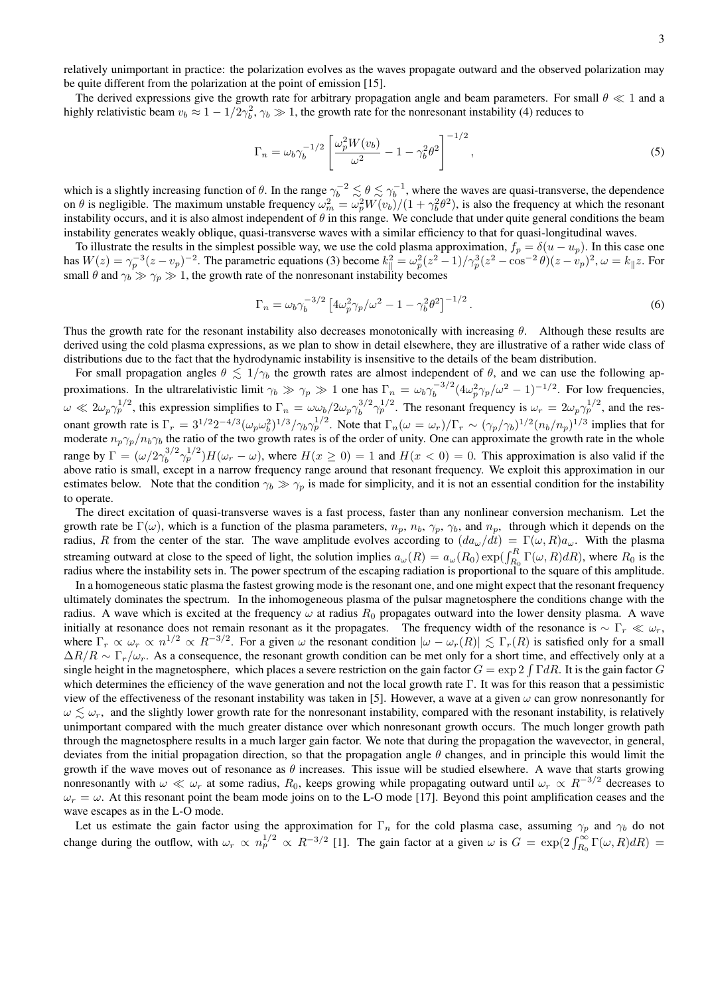relatively unimportant in practice: the polarization evolves as the waves propagate outward and the observed polarization may be quite different from the polarization at the point of emission [15].

The derived expressions give the growth rate for arbitrary propagation angle and beam parameters. For small  $\theta \ll 1$  and a highly relativistic beam  $v_b \approx 1 - 1/2\gamma_b^2$ ,  $\gamma_b \gg 1$ , the growth rate for the nonresonant instability (4) reduces to

$$
\Gamma_n = \omega_b \gamma_b^{-1/2} \left[ \frac{\omega_p^2 W(v_b)}{\omega^2} - 1 - \gamma_b^2 \theta^2 \right]^{-1/2},\tag{5}
$$

which is a slightly increasing function of  $\theta$ . In the range  $\gamma_b^{-2} \lesssim \theta \lesssim \gamma_b^{-1}$ , where the waves are quasi-transverse, the dependence on  $\theta$  is negligible. The maximum unstable frequency  $\omega_m^2 = \omega_p^2 W(v_b)/(1 + \gamma_b^2 \theta^2)$ , is also the frequency at which the resonant instability occurs, and it is also almost independent of  $\theta$  in this range. We conclude that under quite general conditions the beam instability generates weakly oblique, quasi-transverse waves with a similar efficiency to that for quasi-longitudinal waves.

To illustrate the results in the simplest possible way, we use the cold plasma approximation,  $f_p = \delta(u - u_p)$ . In this case one has  $W(z) = \gamma_p^{-3}(z - v_p)^{-2}$ . The parametric equations (3) become  $k_{\parallel}^2 = \omega_p^2(z^2 - 1)/\gamma_p^3(z^2 - \cos^{-2}\theta)(z - v_p)^2$ ,  $\omega = k_{\parallel}z$ . For small  $\theta$  and  $\gamma_b \gg \gamma_p \gg 1$ , the growth rate of the nonresonant instability becomes

$$
\Gamma_n = \omega_b \gamma_b^{-3/2} \left[ 4\omega_p^2 \gamma_p / \omega^2 - 1 - \gamma_b^2 \theta^2 \right]^{-1/2} . \tag{6}
$$

Thus the growth rate for the resonant instability also decreases monotonically with increasing  $\theta$ . Although these results are derived using the cold plasma expressions, as we plan to show in detail elsewhere, they are illustrative of a rather wide class of distributions due to the fact that the hydrodynamic instability is insensitive to the details of the beam distribution.

For small propagation angles  $\theta \leq 1/\gamma_b$  the growth rates are almost independent of  $\theta$ , and we can use the following approximations. In the ultrarelativistic limit  $\gamma_b \gg \gamma_p \gg 1$  one has  $\Gamma_n = \omega_b \gamma_b^{-3/2}$  $\int_b^{-3/2} (4\omega_p^2 \gamma_p/\omega^2 - 1)^{-1/2}$ . For low frequencies,  $\omega \ll 2\omega_p \gamma_p^{1/2}$ , this expression simplifies to  $\Gamma_n = \omega \omega_b / 2\omega_p \gamma_b^{3/2}$  $\int_b^{3/2} \gamma_p^{1/2}$ . The resonant frequency is  $\omega_r = 2\omega_p \gamma_p^{1/2}$ , and the resonant growth rate is  $\Gamma_r = 3^{1/2} 2^{-4/3} (\omega_p \omega_b^2)^{1/3} / \gamma_b \gamma_p^{1/2}$ . Note that  $\Gamma_n(\omega = \omega_r) / \Gamma_r \sim (\gamma_p / \gamma_b)^{1/2} (n_b / n_p)^{1/3}$  implies that for moderate  $n_p\gamma_p/n_b\gamma_b$  the ratio of the two growth rates is of the order of unity. One can approximate the growth rate in the whole range by  $\Gamma = (\omega/2\gamma_b^{3/2})$  $b_1^{3/2} \gamma_p^{1/2} H(\omega_r - \omega)$ , where  $H(x \ge 0) = 1$  and  $H(x < 0) = 0$ . This approximation is also valid if the above ratio is small, except in a narrow frequency range around that resonant frequency. We exploit this approximation in our estimates below. Note that the condition  $\gamma_b \gg \gamma_p$  is made for simplicity, and it is not an essential condition for the instability to operate.

The direct excitation of quasi-transverse waves is a fast process, faster than any nonlinear conversion mechanism. Let the growth rate be  $\Gamma(\omega)$ , which is a function of the plasma parameters,  $n_p$ ,  $n_b$ ,  $\gamma_p$ ,  $\gamma_b$ , and  $n_p$ , through which it depends on the radius, R from the center of the star. The wave amplitude evolves according to  $(da_\omega/dt) = \Gamma(\omega, R)a_\omega$ . With the plasma streaming outward at close to the speed of light, the solution implies  $a_\omega(R) = a_\omega(R_0) \exp(\int_{R_0}^R \Gamma(\omega, R) dR)$ , where  $R_0$  is the radius where the instability sets in. The power spectrum of the escaping radiation is proportional to the square of this amplitude.

In a homogeneous static plasma the fastest growing mode is the resonant one, and one might expect that the resonant frequency ultimately dominates the spectrum. In the inhomogeneous plasma of the pulsar magnetosphere the conditions change with the radius. A wave which is excited at the frequency  $\omega$  at radius  $R_0$  propagates outward into the lower density plasma. A wave initially at resonance does not remain resonant as it the propagates. The frequency width of the resonance is  $\sim \Gamma_r \ll \omega_r$ , where  $\Gamma_r \propto \omega_r \propto n^{1/2} \propto R^{-3/2}$ . For a given  $\omega$  the resonant condition  $|\omega - \omega_r(R)| \lesssim \Gamma_r(R)$  is satisfied only for a small  $\Delta R/R \sim \Gamma_r/\omega_r$ . As a consequence, the resonant growth condition can be met only for a short time, and effectively only at a single height in the magnetosphere, which places a severe restriction on the gain factor  $G = \exp 2 \int \Gamma dR$ . It is the gain factor G which determines the efficiency of the wave generation and not the local growth rate Γ. It was for this reason that a pessimistic view of the effectiveness of the resonant instability was taken in [5]. However, a wave at a given  $\omega$  can grow nonresonantly for  $\omega \lesssim \omega_r$ , and the slightly lower growth rate for the nonresonant instability, compared with the resonant instability, is relatively unimportant compared with the much greater distance over which nonresonant growth occurs. The much longer growth path through the magnetosphere results in a much larger gain factor. We note that during the propagation the wavevector, in general, deviates from the initial propagation direction, so that the propagation angle  $\theta$  changes, and in principle this would limit the growth if the wave moves out of resonance as  $\theta$  increases. This issue will be studied elsewhere. A wave that starts growing nonresonantly with  $\omega \ll \omega_r$  at some radius,  $R_0$ , keeps growing while propagating outward until  $\omega_r \propto R^{-3/2}$  decreases to  $\omega_r = \omega$ . At this resonant point the beam mode joins on to the L-O mode [17]. Beyond this point amplification ceases and the wave escapes as in the L-O mode.

Let us estimate the gain factor using the approximation for  $\Gamma_n$  for the cold plasma case, assuming  $\gamma_p$  and  $\gamma_b$  do not change during the outflow, with  $\omega_r \propto n_p^{1/2} \propto R^{-3/2}$  [1]. The gain factor at a given  $\omega$  is  $G = \exp(2 \int_{R_0}^{\infty} \Gamma(\omega, R) dR)$